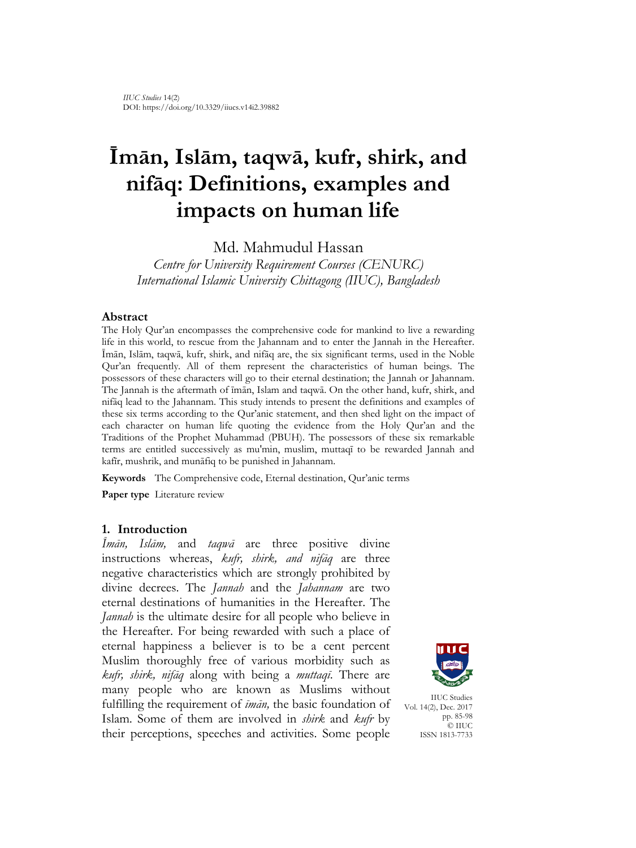# **Īmān, Islām, taqwā, kufr, shirk, and nifāq: Definitions, examples and impacts on human life**

Md. Mahmudul Hassan

*Centre for University Requirement Courses (CENURC) International Islamic University Chittagong (IIUC), Bangladesh*

# **Abstract**

The Holy Qur'an encompasses the comprehensive code for mankind to live a rewarding life in this world, to rescue from the Jahannam and to enter the Jannah in the Hereafter. Īmān, Islām, taqwā, kufr, shirk, and nifāq are, the six significant terms, used in the Noble Qur"an frequently. All of them represent the characteristics of human beings. The possessors of these characters will go to their eternal destination; the Jannah or Jahannam. The Jannah is the aftermath of īmān, Islam and taqwā. On the other hand, kufr, shirk, and nifāq lead to the Jahannam. This study intends to present the definitions and examples of these six terms according to the Qur"anic statement, and then shed light on the impact of each character on human life quoting the evidence from the Holy Qur'an and the Traditions of the Prophet Muhammad (PBUH). The possessors of these six remarkable terms are entitled successively as mu'min, muslim, muttaqī to be rewarded Jannah and kafīr, mushrik, and munāfiq to be punished in Jahannam.

Keywords The Comprehensive code, Eternal destination, Qur'anic terms

**Paper type** Literature review

#### **1. Introduction**

*Īmān, Islām,* and *taqwā* are three positive divine instructions whereas, *kufr, shirk, and nifāq* are three negative characteristics which are strongly prohibited by divine decrees. The *Jannah* and the *Jahannam* are two eternal destinations of humanities in the Hereafter. The *Jannah* is the ultimate desire for all people who believe in the Hereafter. For being rewarded with such a place of eternal happiness a believer is to be a cent percent Muslim thoroughly free of various morbidity such as *kufr, shirk, nifāq* along with being a *muttaqī*. There are many people who are known as Muslims without fulfilling the requirement of *īmān,* the basic foundation of Islam. Some of them are involved in *shirk* and *kufr* by their perceptions, speeches and activities. Some people



IIUC Studies Vol. 14(2), Dec. 2017 pp. 85-98 © IIUC ISSN 1813-7733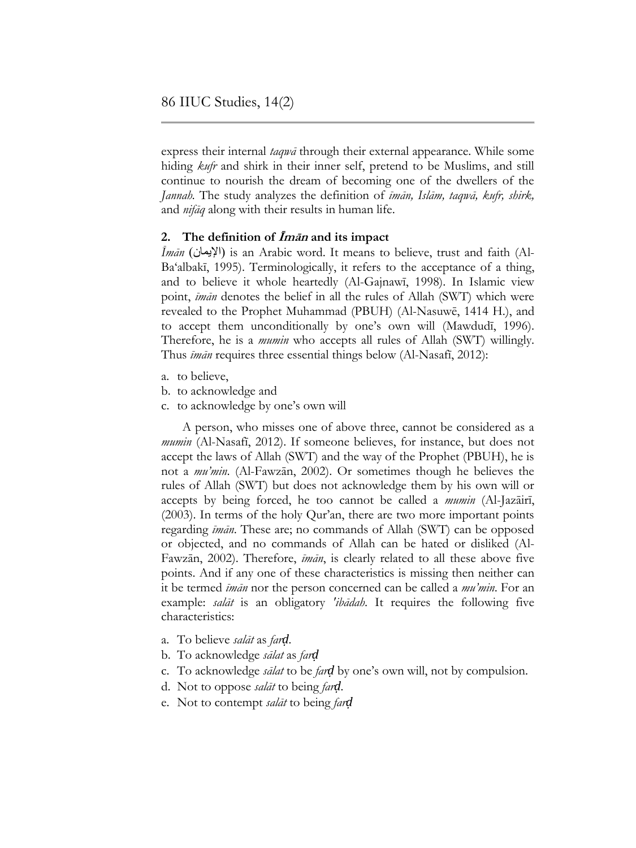express their internal *taqwā* through their external appearance. While some hiding *kufr* and shirk in their inner self, pretend to be Muslims, and still continue to nourish the dream of becoming one of the dwellers of the *Jannah.* The study analyzes the definition of *īmān, Islām, taqwā, kufr, shirk,* and *nifāq* along with their results in human life.

## **2. The definition of Īmān and its impact**

*Īmān* )اإليمان )is an Arabic word. It means to believe, trust and faith (Al-Ba"albakī, 1995). Terminologically, it refers to the acceptance of a thing, and to believe it whole heartedly (Al-Gajnawī, 1998). In Islamic view point, *īmān* denotes the belief in all the rules of Allah (SWT) which were revealed to the Prophet Muhammad (PBUH) (Al-Nasuwē, 1414 H.), and to accept them unconditionally by one's own will (Mawdudī, 1996). Therefore, he is a *mumin* who accepts all rules of Allah (SWT) willingly. Thus *īmān* requires three essential things below (Al-Nasafī, 2012):

- a. to believe,
- b. to acknowledge and
- c. to acknowledge by one's own will

A person, who misses one of above three, cannot be considered as a *mumin* (Al-Nasafi, 2012). If someone believes, for instance, but does not accept the laws of Allah (SWT) and the way of the Prophet (PBUH), he is not a *mu'min*. (Al-Fawzān, 2002). Or sometimes though he believes the rules of Allah (SWT) but does not acknowledge them by his own will or accepts by being forced, he too cannot be called a *mumin* (Al-Jazāirī, (2003). In terms of the holy Qur'an, there are two more important points regarding *īmān*. These are; no commands of Allah (SWT) can be opposed or objected, and no commands of Allah can be hated or disliked (Al-Fawzān, 2002). Therefore, *īmān*, is clearly related to all these above five points. And if any one of these characteristics is missing then neither can it be termed *īmān* nor the person concerned can be called a *mu'min*. For an example: *salāt* is an obligatory *'ibādah*. It requires the following five characteristics:

- a. To believe *salāt* as *farḍ.*
- b. To acknowledge *sālat* as *farḍ*
- c. To acknowledge *sālat* to be *farḍ* by one"s own will, not by compulsion.
- d. Not to oppose *salāt* to being *farḍ.*
- e. Not to contempt *salāt* to being *farḍ*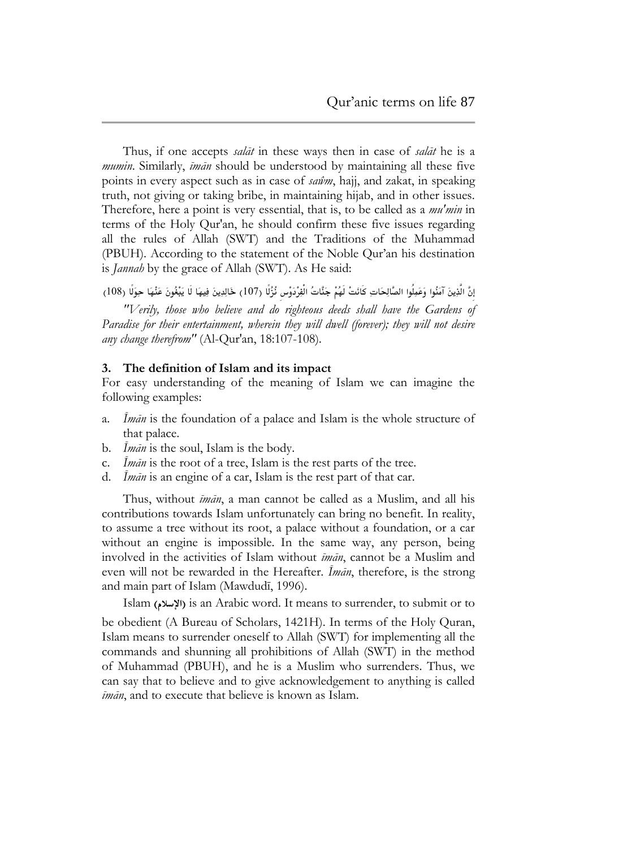Thus, if one accepts *salāt* in these ways then in case of *salāt* he is a *mumin*. Similarly, *īmān* should be understood by maintaining all these five points in every aspect such as in case of *saŵm*, hajj, and zakat, in speaking truth, not giving or taking bribe, in maintaining hijab, and in other issues. Therefore, here a point is very essential, that is, to be called as a *mu'min* in terms of the Holy Qur'an, he should confirm these five issues regarding all the rules of Allah (SWT) and the Traditions of the Muhammad (PBUH). According to the statement of the Noble Qur"an his destination is *Jannah* by the grace of Allah (SWT). As He said:

إِنَّ الَّذِينَ آمَنُوا وَعَمِلُوا الصَّالِحَاتِ كَانَتْ لَهُمْ جَنَّاتُ الْفِرْدَوْسِ نُزُلًا (107) خَالِدِينَ فِيهَا لَا يَبْغُونَ عَنْهَا حِوَلًا (108)

*"Verily, those who believe and do righteous deeds shall have the Gardens of Paradise for their entertainment, wherein they will dwell (forever); they will not desire any change therefrom"* (Al-Qur'an, 18:107-108)*.*

#### **3. The definition of Islam and its impact**

For easy understanding of the meaning of Islam we can imagine the following examples:

- a. *Īmān* is the foundation of a palace and Islam is the whole structure of that palace.
- b. *Īmān* is the soul, Islam is the body.
- c. *Īmān* is the root of a tree, Islam is the rest parts of the tree.
- d. *Īmān* is an engine of a car, Islam is the rest part of that car.

Thus, without *īmān*, a man cannot be called as a Muslim, and all his contributions towards Islam unfortunately can bring no benefit. In reality, to assume a tree without its root, a palace without a foundation, or a car without an engine is impossible. In the same way, any person, being involved in the activities of Islam without *īmān*, cannot be a Muslim and even will not be rewarded in the Hereafter. *Īmān*, therefore, is the strong and main part of Islam (Mawdudī, 1996).

Islam **)اإلسالم )**is an Arabic word. It means to surrender, to submit or to be obedient (A Bureau of Scholars, 1421H). In terms of the Holy Quran, Islam means to surrender oneself to Allah (SWT) for implementing all the commands and shunning all prohibitions of Allah (SWT) in the method of Muhammad (PBUH), and he is a Muslim who surrenders. Thus, we can say that to believe and to give acknowledgement to anything is called *īmān*, and to execute that believe is known as Islam.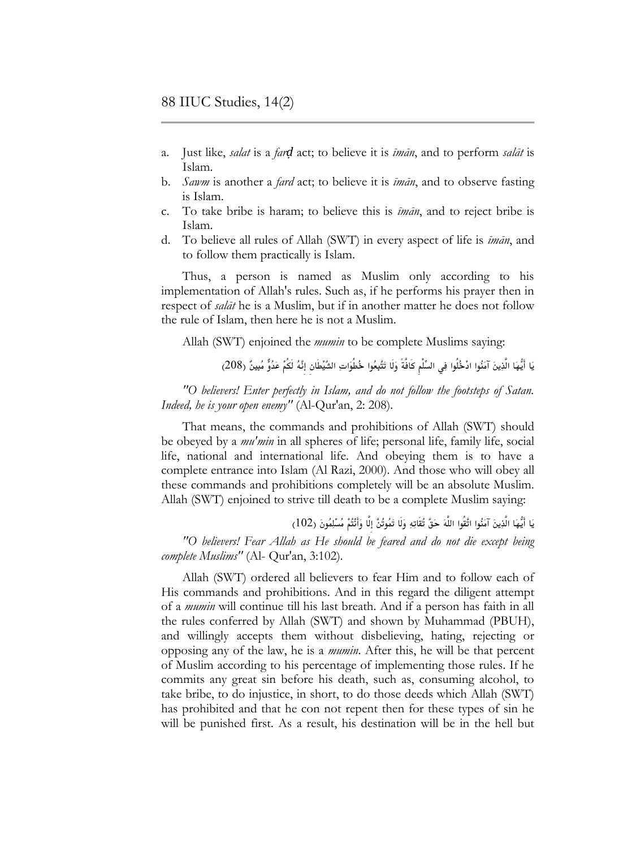- a. Just like, *salat* is a *farḍ* act; to believe it is *īmān*, and to perform *salāt* is Islam.
- b. *Sawm* is another a *fard* act; to believe it is *īmān*, and to observe fasting is Islam.
- c. To take bribe is haram; to believe this is *īmān*, and to reject bribe is Islam.
- d. To believe all rules of Allah (SWT) in every aspect of life is *īmān*, and to follow them practically is Islam.

Thus, a person is named as Muslim only according to his implementation of Allah's rules. Such as, if he performs his prayer then in respect of *salāt* he is a Muslim, but if in another matter he does not follow the rule of Islam, then here he is not a Muslim.

Allah (SWT) enjoined the *mumin* to be complete Muslims saying:

وَاّأَوُّفَاّالَّذِونَّآمَـُواّادِخُؾُواّفِيّالِّْؾْمِّكَافَّةًّوَلَاّتًََّيِعُواّخُطُوَاتِّالشَّقِطَانِّإِنَّهُّلَؽُمِّسَدُوّّّمُيِنيّْ)<80(

*"O believers! Enter perfectly in Islam, and do not follow the footsteps of Satan. Indeed, he is your open enemy"* (Al-Qur'an, 2: 208)*.* 

That means, the commands and prohibitions of Allah (SWT) should be obeyed by a *mu'min* in all spheres of life; personal life, family life, social life, national and international life. And obeying them is to have a complete entrance into Islam (Al Razi, 2000). And those who will obey all these commands and prohibitions completely will be an absolute Muslim. Allah (SWT) enjoined to strive till death to be a complete Muslim saying:

يَا أَيُّهَا الَّذِينَ آمَنُوا اتَّقُوا اللَّهَ حَقَّ تُقَاتِهِ وَلَا تَمُوتُنَّ إِلَّا وَأَنْتُمْ مُسْلِمُونَ (102)

*"O believers! Fear Allah as He should be feared and do not die except being complete Muslims"* (Al- Qur'an, 3:102)*.*

Allah (SWT) ordered all believers to fear Him and to follow each of His commands and prohibitions. And in this regard the diligent attempt of a *mumin* will continue till his last breath. And if a person has faith in all the rules conferred by Allah (SWT) and shown by Muhammad (PBUH), and willingly accepts them without disbelieving, hating, rejecting or opposing any of the law, he is a *mumin*. After this, he will be that percent of Muslim according to his percentage of implementing those rules. If he commits any great sin before his death, such as, consuming alcohol, to take bribe, to do injustice, in short, to do those deeds which Allah (SWT) has prohibited and that he con not repent then for these types of sin he will be punished first. As a result, his destination will be in the hell but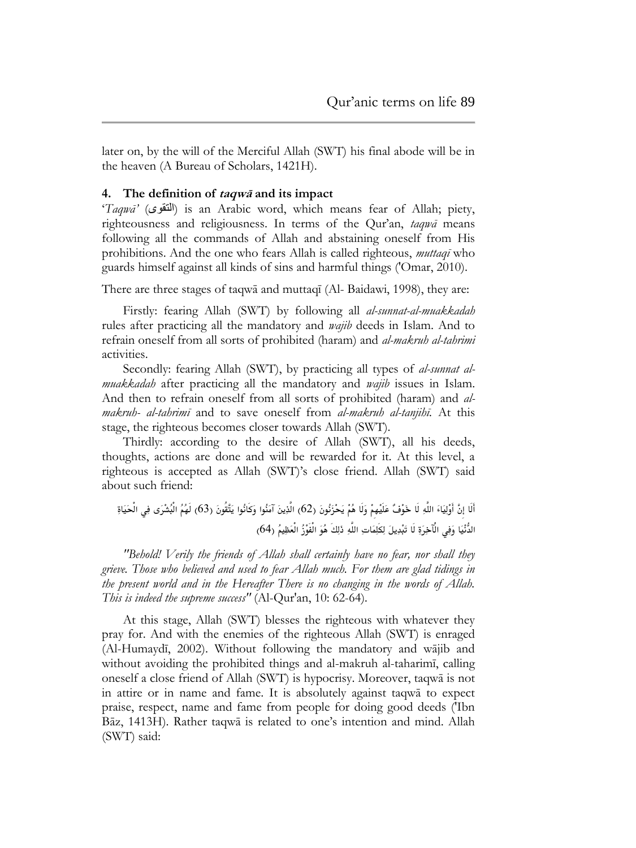later on, by the will of the Merciful Allah (SWT) his final abode will be in the heaven (A Bureau of Scholars, 1421H).

#### **4. The definition of taqwā and its impact**

"*Taqwā'* (التقوى (is an Arabic word, which means fear of Allah; piety, righteousness and religiousness. In terms of the Qur"an, *taqwā* means following all the commands of Allah and abstaining oneself from His prohibitions. And the one who fears Allah is called righteous, *muttaqī* who guards himself against all kinds of sins and harmful things ('Omar, 2010).

There are three stages of taqwā and muttaqī (Al- Baidawi, 1998), they are:

Firstly: fearing Allah (SWT) by following all *al-sunnat-al-muakkadah* rules after practicing all the mandatory and *wajib* deeds in Islam. And to refrain oneself from all sorts of prohibited (haram) and *al-makruh al-tahrimi* activities.

Secondly: fearing Allah (SWT), by practicing all types of *al-sunnat almuakkadah* after practicing all the mandatory and *wajib* issues in Islam. And then to refrain oneself from all sorts of prohibited (haram) and *almakruh- al-tahrimī* and to save oneself from *al-makruh al-tanjihī.* At this stage, the righteous becomes closer towards Allah (SWT).

Thirdly: according to the desire of Allah (SWT), all his deeds, thoughts, actions are done and will be rewarded for it. At this level, a righteous is accepted as Allah (SWT)"s close friend. Allah (SWT) said about such friend:

أَلَاّإِنَّّأَوِلِقَاءَّالؾَّهِّلَاّخَوِفّْسَؾَقِفِمِّوَلَاّهُمِّوََِزَنُونَّ)8>(ّالَّذِونَّآمَـُواّوَكَانُواّوًََّؼُونَّ)9>(ّلَفُمُّالْيُشِرَىّفِيّالََْقَاةِّ الدُّنِقَاّوَفِيّالْكخِرَةِّلَاّتَيِدِولَّلِؽَؾِؿَاتِّالؾَّهِّذَلِكَّهُوَّالْػَوِزُّالْعَظِقمُّ):>(

*"Behold! Verily the friends of Allah shall certainly have no fear, nor shall they grieve. Those who believed and used to fear Allah much. For them are glad tidings in the present world and in the Hereafter There is no changing in the words of Allah. This is indeed the supreme success"* (Al-Qur'an, 10: 62-64)*.* 

At this stage, Allah (SWT) blesses the righteous with whatever they pray for. And with the enemies of the righteous Allah (SWT) is enraged (Al-Humaydī, 2002). Without following the mandatory and wājib and without avoiding the prohibited things and al-makruh al-taharimī, calling oneself a close friend of Allah (SWT) is hypocrisy. Moreover, taqwā is not in attire or in name and fame. It is absolutely against taqwā to expect praise, respect, name and fame from people for doing good deeds ('Ibn Bāz, 1413H). Rather taqwā is related to one's intention and mind. Allah (SWT) said: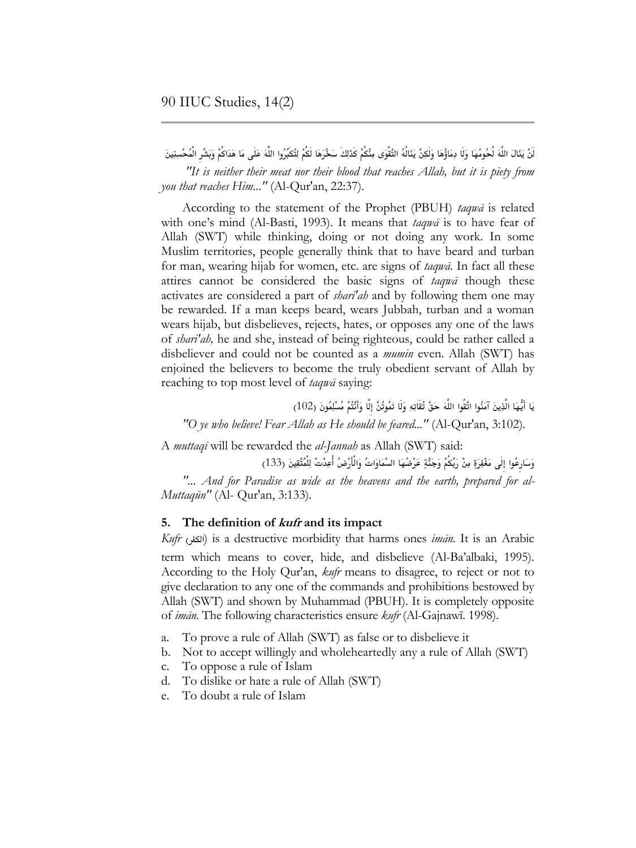.<br>لَنْ يَنَالَ اللَّهَ لُحُومُهَا وَلَا دِمَاؤُهَا وَلَكِنْ يَنَالُهُ التَّقْوَى مِنْكُمْ كَذَلِكَ سَخَّرَهَا لَكُمْ لِتُكَبِّرُوا اللَّهَ عَلَى مَا هَدَاكُمْ وَبَشِّرِ الْمُحْسِنِينَ

*"It is neither their meat nor their blood that reaches Allah, but it is piety from you that reaches Him..."* (Al-Qur'an, 22:37)*.*

According to the statement of the Prophet (PBUH) *taqwā* is related with one's mind (Al-Basti, 1993). It means that *taqwa* is to have fear of Allah (SWT) while thinking, doing or not doing any work. In some Muslim territories, people generally think that to have beard and turban for man, wearing hijab for women, etc. are signs of *taqwā*. In fact all these attires cannot be considered the basic signs of *taqwā* though these activates are considered a part of *shari'ah* and by following them one may be rewarded. If a man keeps beard, wears Jubbah, turban and a woman wears hijab, but disbelieves, rejects, hates, or opposes any one of the laws of *shari'ah,* he and she, instead of being righteous, could be rather called a disbeliever and could not be counted as a *mumin* even. Allah (SWT) has enjoined the believers to become the truly obedient servant of Allah by reaching to top most level of *taqwā* saying:

يَا أَيُّهَا الَّذِينَ آمَنُوا اتَّقُوا اللَّهَ حَقَّ تُقَاتِهِ وَلَا تَمُوتُنَّ إِلَّا وَأَنْتُمْ مُسْلِمُونَ (102) *"O ye who believe! Fear Allah as He should be feared..."* (Al-Qur'an, 3:102)*.* 

A *muttaqī* will be rewarded the *al-Jannah* as Allah (SWT) said:

وَسَارِعُوا إِلَى مَغْفِرَةٍ مِنْ رَبِّكُمْ وَجَنَّةٍ عَرْضُهَا السَّمَاوَاتُ وَالْأَرْضُ أُعِدَّتْ لِلْمُتَّقِينَ (133)

*"... And for Paradise as wide as the heavens and the earth, prepared for al-Muttaqūn"* (Al- Qur'an, 3:133)*.*

#### **5. The definition of kufr and its impact**

*Kufr* (الكغر) is a destructive morbidity that harms ones *imān*. It is an Arabic term which means to cover, hide, and disbelieve (Al-Ba"albaki, 1995). According to the Holy Qur'an, *kufr* means to disagree, to reject or not to give declaration to any one of the commands and prohibitions bestowed by Allah (SWT) and shown by Muhammad (PBUH). It is completely opposite of *imān*. The following characteristics ensure *kufr* (Al-Gajnawī. 1998).

- a. To prove a rule of Allah (SWT) as false or to disbelieve it
- b. Not to accept willingly and wholeheartedly any a rule of Allah (SWT)
- c. To oppose a rule of Islam
- d. To dislike or hate a rule of Allah (SWT)
- e. To doubt a rule of Islam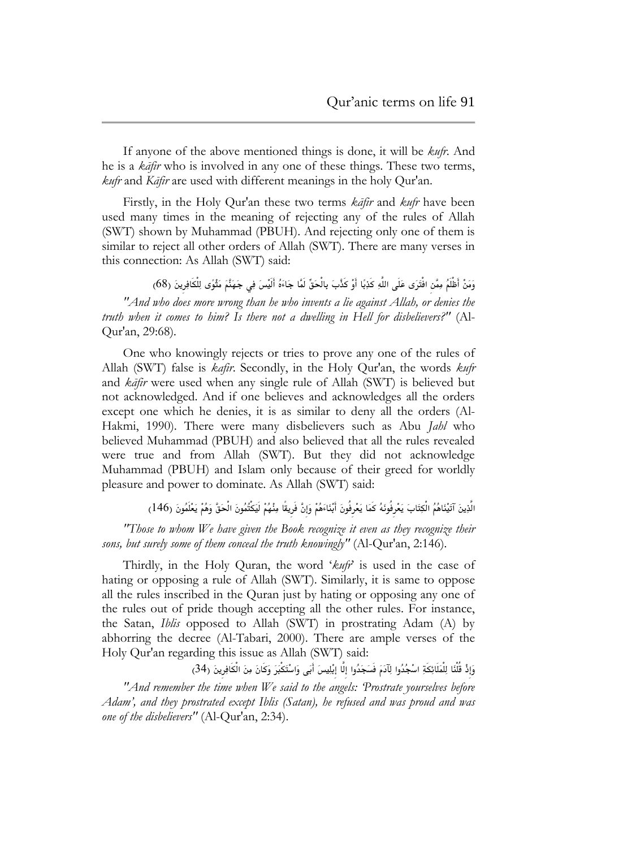If anyone of the above mentioned things is done, it will be *kufr*. And he is a *kāfir* who is involved in any one of these things. These two terms, *kufr* and *Kāfir* are used with different meanings in the holy Qur'an.

Firstly, in the Holy Qur'an these two terms *kāfir* and *kufr* have been used many times in the meaning of rejecting any of the rules of Allah (SWT) shown by Muhammad (PBUH). And rejecting only one of them is similar to reject all other orders of Allah (SWT). There are many verses in this connection: As Allah (SWT) said:

وَمَنْ أَظْلَمُ مِمَّن افْتَرَى عَلَى اللَّهِ كَذِبًا أَوْ كَذَّبَ بِالْحَقِّ لَمَّا جَاءَهُ أَلَيْسَ فِي جَهَنَّمَ مَثْوًى لِلْكَافِرِينَ (68) *"And who does more wrong than he who invents a lie against Allah, or denies the truth when it comes to him? Is there not a dwelling in Hell for disbelievers?"* (Al-Qur'an, 29:68)*.* 

One who knowingly rejects or tries to prove any one of the rules of Allah (SWT) false is *kafir*. Secondly, in the Holy Qur'an, the words *kufr*  and *kāfir* were used when any single rule of Allah (SWT) is believed but not acknowledged. And if one believes and acknowledges all the orders except one which he denies, it is as similar to deny all the orders (Al-Hakmi, 1990). There were many disbelievers such as Abu *Jahl* who believed Muhammad (PBUH) and also believed that all the rules revealed were true and from Allah (SWT). But they did not acknowledge Muhammad (PBUH) and Islam only because of their greed for worldly pleasure and power to dominate. As Allah (SWT) said:

الَّذِينَ آتَيْنَاهُمُ الْكِتَابَ يَعْرِفُونَهُ كَمَا يَعْرِفُونَ أَبْنَاءَهُمْ وَإِنَّ فَرِيقًا مِنْهُمْ لَيَكْتُمُونَ الْحَقَّ وَهُمْ يَعْلَمُونَ (146)

*"Those to whom We have given the Book recognize it even as they recognize their sons, but surely some of them conceal the truth knowingly"* (Al-Qur'an, 2:146)*.* 

Thirdly, in the Holy Quran, the word "*kufr*" is used in the case of hating or opposing a rule of Allah (SWT). Similarly, it is same to oppose all the rules inscribed in the Quran just by hating or opposing any one of the rules out of pride though accepting all the other rules. For instance, the Satan, *Iblis* opposed to Allah (SWT) in prostrating Adam (A) by abhorring the decree (Al-Tabari, 2000). There are ample verses of the Holy Qur'an regarding this issue as Allah (SWT) said:

وَإِذِّقُؾْـَاّلِؾْؿَؾَائِؽَةِّادٍُِدُواّلِكدَمَّفٍَََِدُواّإِلَّاّإِبِؾِقسَّأَبَىّوَادًَِؽْيَرَّوَكَانَّمِنَّالْؽَافِرِونَّ)9:(

*"And remember the time when We said to the angels: 'Prostrate yourselves before Adam', and they prostrated except Iblis (Satan), he refused and was proud and was one of the disbelievers"* (Al-Qur'an, 2:34).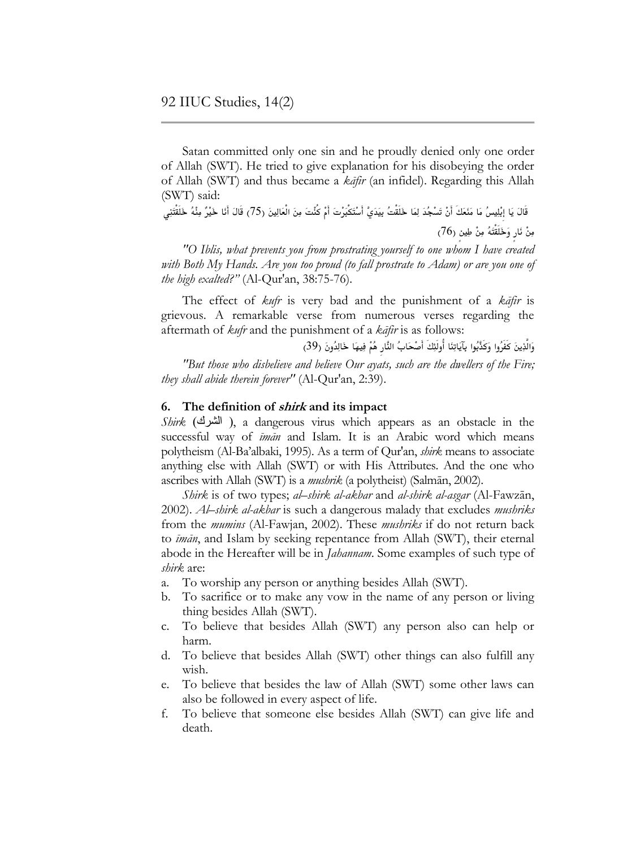Satan committed only one sin and he proudly denied only one order of Allah (SWT). He tried to give explanation for his disobeying the order of Allah (SWT) and thus became a *kāfir* (an infidel). Regarding this Allah (SWT) said:

ّّقَالَّوَاّإِبِؾِقسُّمَاّمَـَعَكَّأَنِّتٍَُِِدَّلِؿَاّخَؾَؼْتُّبِقَدَيَّّأَدًَِؽْيَرِتَّأَمِّكُـِتَّمِنَّالْعَالِنيَّ);=(ّقَالَّأَنَاّخَقِرّْمِـِهُّخَؾَؼًَْـِيّ  $\sim$ رَنْ نَارٍ وَخَلَقْتَهُ مِنْ طِينٍ (76)

*"O Iblis, what prevents you from prostrating yourself to one whom I have created*  with Both My Hands. Are you too proud (to fall prostrate to Adam) or are you one of *the high exalted?"* (Al-Qur'an, 38:75-76)*.*

The effect of *kufr* is very bad and the punishment of a *kāfir* is grievous. A remarkable verse from numerous verses regarding the aftermath of *kufr* and the punishment of a *kāfir* is as follows:

وَالَّذِينَ كَفَرُوا وَكَذَّبُوا بِآيَاتِنَا أُولَئِكَ أَصْحَابُ النَّارِ هُمْ فِيهَا خَالِدُونَ (39) *"But those who disbelieve and believe Our ayats, such are the dwellers of the Fire; they shall abide therein forever"* (Al-Qur'an, 2:39).

## **6. The definition of shirk and its impact**

*Shirk* )الشرك) , a dangerous virus which appears as an obstacle in the successful way of *īmān* and Islam. It is an Arabic word which means polytheism (Al-Ba"albaki, 1995). As a term of Qur'an, *shirk* means to associate anything else with Allah (SWT) or with His Attributes. And the one who ascribes with Allah (SWT) is a *mushrik* (a polytheist) (Salmān, 2002).

*Shirk* is of two types; *al–shirk al-akbar* and *al-shirk al-asgar* (Al-Fawzān, 2002). *Al–shirk al-akbar* is such a dangerous malady that excludes *mushriks*  from the *mumins* (Al-Fawjan, 2002). These *mushriks* if do not return back to *īmān*, and Islam by seeking repentance from Allah (SWT), their eternal abode in the Hereafter will be in *Jahannam*. Some examples of such type of *shirk* are:

- a. To worship any person or anything besides Allah (SWT).
- b. To sacrifice or to make any vow in the name of any person or living thing besides Allah (SWT).
- c. To believe that besides Allah (SWT) any person also can help or harm.
- d. To believe that besides Allah (SWT) other things can also fulfill any wish.
- e. To believe that besides the law of Allah (SWT) some other laws can also be followed in every aspect of life.
- f. To believe that someone else besides Allah (SWT) can give life and death.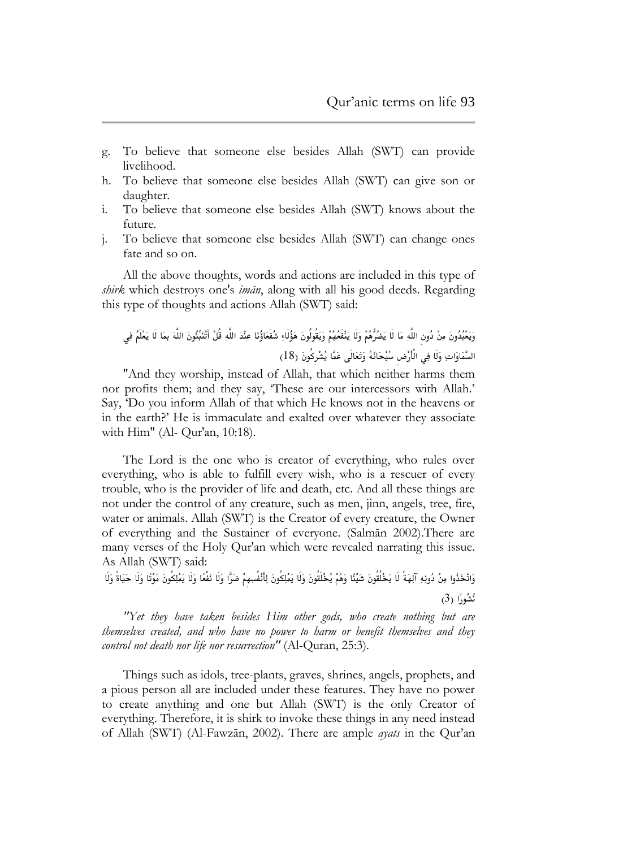- g. To believe that someone else besides Allah (SWT) can provide livelihood.
- h. To believe that someone else besides Allah (SWT) can give son or daughter.
- i. To believe that someone else besides Allah (SWT) knows about the future.
- j. To believe that someone else besides Allah (SWT) can change ones fate and so on.

All the above thoughts, words and actions are included in this type of *shirk* which destroys one's *imān*, along with all his good deeds. Regarding this type of thoughts and actions Allah (SWT) said:

.<br>وَيَعْبُدُونَ مِنْ دُون اللَّهِ مَا لَا يَضُرُّهُمْ وَلَا يَنْفَعُهُمْ وَيَقُولُونَ هَؤُلَاءِ شُفَعَاؤُنَا عِنْدَ اللَّهِ قُلْ أَتُنَبِّئُونَ اللَّهَ بِمَا لَا يَعْلَمُ فِي السَّمَاوَاتِ وَلَا فِي الْأَرْضِ سُبْحَانَهُ وَتَعَالَى عَمَّا يُشْرِكُونَ (18)

"And they worship, instead of Allah, that which neither harms them nor profits them; and they say, "These are our intercessors with Allah." Say, "Do you inform Allah of that which He knows not in the heavens or in the earth?" He is immaculate and exalted over whatever they associate with Him" (Al- Qur'an, 10:18).

The Lord is the one who is creator of everything, who rules over everything, who is able to fulfill every wish, who is a rescuer of every trouble, who is the provider of life and death, etc. And all these things are not under the control of any creature, such as men, jinn, angels, tree, fire, water or animals. Allah (SWT) is the Creator of every creature, the Owner of everything and the Sustainer of everyone. (Salmān 2002).There are many verses of the Holy Qur'an which were revealed narrating this issue. As Allah (SWT) said:

وَاتَّخَذُوا مِنْ دُونِهِ آلِهَةً لَا يَخْلُقُونَ شَيْئًا وَهُمْ يُخْلَقُونَ وَلَا يَمْلِكُونَ لِأَنْفُسِهِمْ ضَرًّا وَلَا نَفْعًا وَلَا يَمْلِكُونَ مَوْتًا وَلَا حَيَاةً وَلَا  $(3)$ نُشُورًا $(3)$ 

*"Yet they have taken besides Him other gods, who create nothing but are themselves created, and who have no power to harm or benefit themselves and they control not death nor life nor resurrection"* (Al-Quran, 25:3)*.*

Things such as idols, tree-plants, graves, shrines, angels, prophets, and a pious person all are included under these features. They have no power to create anything and one but Allah (SWT) is the only Creator of everything. Therefore, it is shirk to invoke these things in any need instead of Allah (SWT) (Al-Fawzān, 2002). There are ample *ayats* in the Qur"an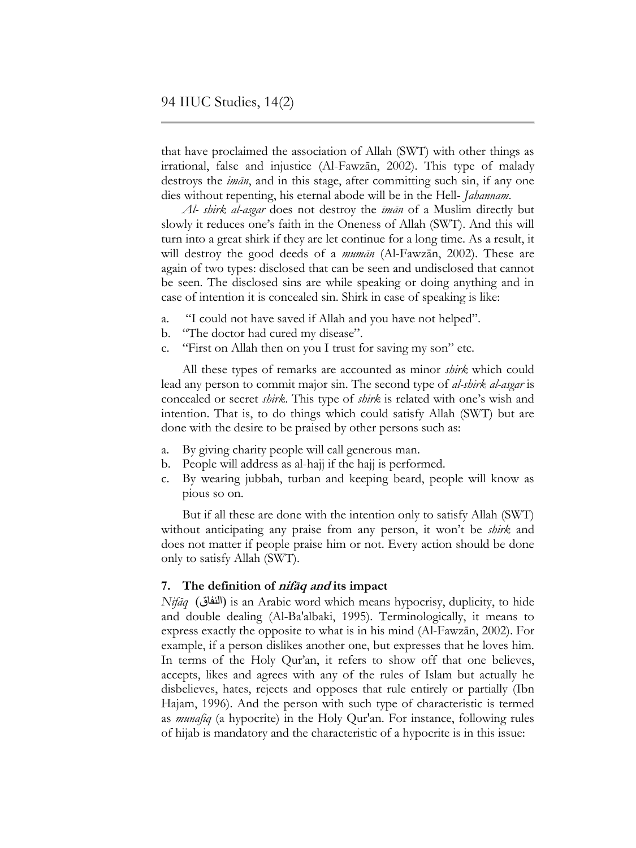that have proclaimed the association of Allah (SWT) with other things as irrational, false and injustice (Al-Fawzān, 2002). This type of malady destroys the *imān*, and in this stage, after committing such sin, if any one dies without repenting, his eternal abode will be in the Hell- *Jahannam*.

*Al- shirk al-asgar* does not destroy the *īmān* of a Muslim directly but slowly it reduces one"s faith in the Oneness of Allah (SWT). And this will turn into a great shirk if they are let continue for a long time. As a result, it will destroy the good deeds of a *mumān* (Al-Fawzān, 2002). These are again of two types: disclosed that can be seen and undisclosed that cannot be seen. The disclosed sins are while speaking or doing anything and in case of intention it is concealed sin. Shirk in case of speaking is like:

- a. "I could not have saved if Allah and you have not helped".
- b. "The doctor had cured my disease".
- c. "First on Allah then on you I trust for saving my son" etc.

All these types of remarks are accounted as minor *shirk* which could lead any person to commit major sin. The second type of *al-shirk al-asgar* is concealed or secret *shirk*. This type of *shirk* is related with one"s wish and intention. That is, to do things which could satisfy Allah (SWT) but are done with the desire to be praised by other persons such as:

- a. By giving charity people will call generous man.
- b. People will address as al-hajj if the hajj is performed.
- c. By wearing jubbah, turban and keeping beard, people will know as pious so on.

But if all these are done with the intention only to satisfy Allah (SWT) without anticipating any praise from any person, it won"t be *shirk* and does not matter if people praise him or not. Every action should be done only to satisfy Allah (SWT).

### **7. The definition of nifāq and its impact**

*Nifāq* (النفاق) is an Arabic word which means hypocrisy, duplicity, to hide and double dealing (Al-Ba'albaki, 1995). Terminologically, it means to express exactly the opposite to what is in his mind (Al-Fawzān, 2002). For example, if a person dislikes another one, but expresses that he loves him. In terms of the Holy Qur'an, it refers to show off that one believes, accepts, likes and agrees with any of the rules of Islam but actually he disbelieves, hates, rejects and opposes that rule entirely or partially (Ibn Hajam, 1996). And the person with such type of characteristic is termed as *munafiq* (a hypocrite) in the Holy Qur'an. For instance, following rules of hijab is mandatory and the characteristic of a hypocrite is in this issue: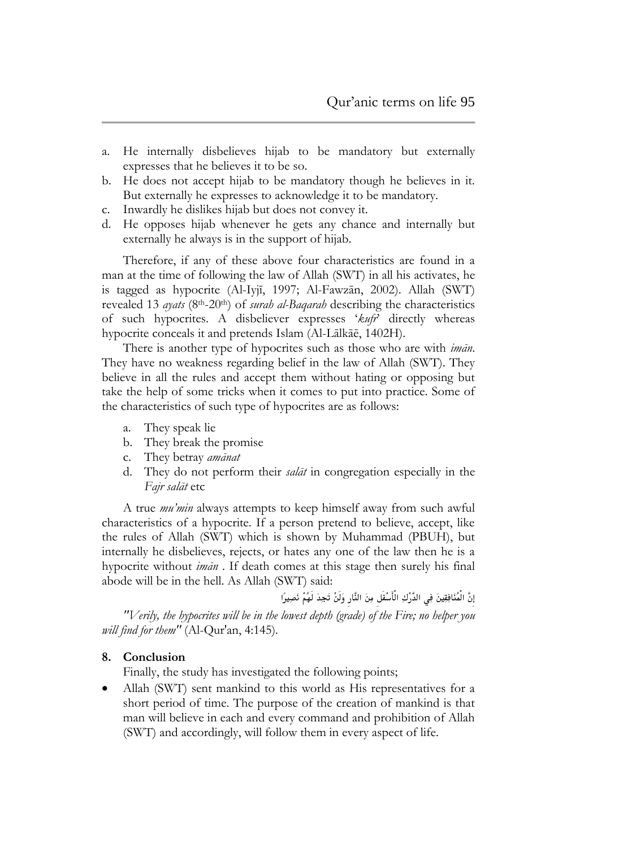- a. He internally disbelieves hijab to be mandatory but externally expresses that he believes it to be so.
- b. He does not accept hijab to be mandatory though he believes in it. But externally he expresses to acknowledge it to be mandatory.
- c. Inwardly he dislikes hijab but does not convey it.
- d. He opposes hijab whenever he gets any chance and internally but externally he always is in the support of hijab.

Therefore, if any of these above four characteristics are found in a man at the time of following the law of Allah (SWT) in all his activates, he is tagged as hypocrite (Al-Iyjī, 1997; Al-Fawzān, 2002). Allah (SWT) revealed 13 *ayats* (8<sup>th</sup>-20<sup>th</sup>) of *surah al-Baqarah* describing the characteristics of such hypocrites. A disbeliever expresses "*kufr*" directly whereas hypocrite conceals it and pretends Islam (Al-Lālkāē, 1402H).

There is another type of hypocrites such as those who are with *imān*. They have no weakness regarding belief in the law of Allah (SWT). They believe in all the rules and accept them without hating or opposing but take the help of some tricks when it comes to put into practice. Some of the characteristics of such type of hypocrites are as follows:

- a. They speak lie
- b. They break the promise
- c. They betray *amānat*
- d. They do not perform their *salāt* in congregation especially in the *Fajr salāt* etc

A true *mu'min* always attempts to keep himself away from such awful characteristics of a hypocrite. If a person pretend to believe, accept, like the rules of Allah (SWT) which is shown by Muhammad (PBUH), but internally he disbelieves, rejects, or hates any one of the law then he is a hypocrite without *imān* . If death comes at this stage then surely his final abode will be in the hell. As Allah (SWT) said:

إِنَّ الْمُنَافِقِينَ فِي الدَّرْكِ الْأَسْفَل مِنَ النَّارِ وَلَنْ تَجِدَ لَهُمْ نَصِيرًا *"Verily, the hypocrites will be in the lowest depth (grade) of the Fire; no helper you will find for them"* (Al-Qur'an, 4:145)*.*

# **8. Conclusion**

Finally, the study has investigated the following points;

 Allah (SWT) sent mankind to this world as His representatives for a short period of time. The purpose of the creation of mankind is that man will believe in each and every command and prohibition of Allah (SWT) and accordingly, will follow them in every aspect of life.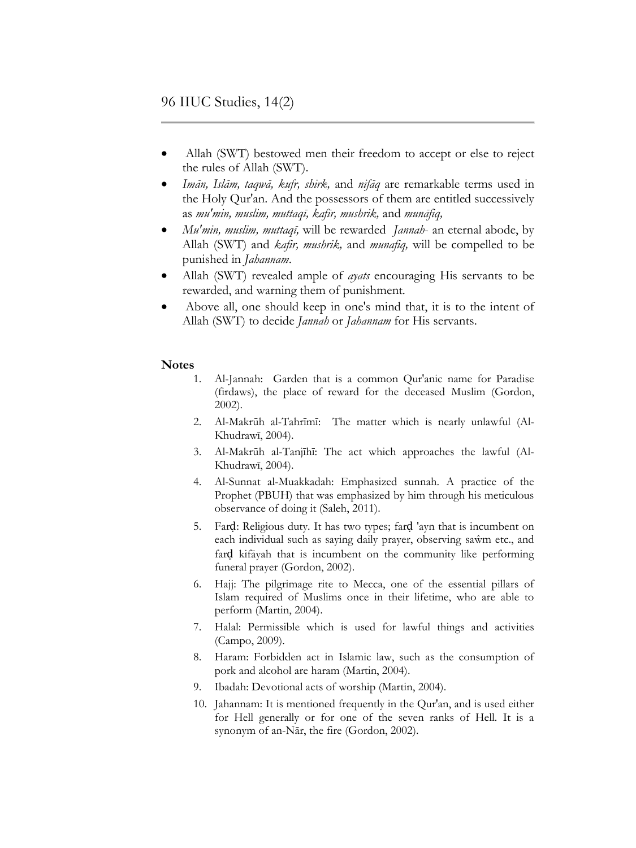- Allah (SWT) bestowed men their freedom to accept or else to reject the rules of Allah (SWT).
- *Imān, Islām, taqwā, kufr, shirk,* and *nifāq* are remarkable terms used in the Holy Qur'an. And the possessors of them are entitled successively as *mu'min, muslim, muttaqī, kafīr, mushrik,* and *munāfiq,*
- *Mu'min, muslim, muttaqī,* will be rewarded *Jannah* an eternal abode, by Allah (SWT) and *kafir, mushrik,* and *munafiq,* will be compelled to be punished in *Jahannam*.
- Allah (SWT) revealed ample of *ayats* encouraging His servants to be rewarded, and warning them of punishment.
- Above all, one should keep in one's mind that, it is to the intent of Allah (SWT) to decide *Jannah* or *Jahannam* for His servants.

# **Notes**

- 1. Al-Jannah: Garden that is a common Qur'anic name for Paradise (firdaws), the place of reward for the deceased Muslim (Gordon, 2002).
- 2. Al-Makrūh al-Tahrīmī: The matter which is nearly unlawful (Al-Khudrawī, 2004).
- 3. Al-Makrūh al-Tanjīhī: The act which approaches the lawful (Al-Khudrawī, 2004).
- 4. Al-Sunnat al-Muakkadah: Emphasized sunnah. A practice of the Prophet (PBUH) that was emphasized by him through his meticulous observance of doing it (Saleh, 2011).
- 5. Farḍ: Religious duty. It has two types; farḍ 'ayn that is incumbent on each individual such as saying daily prayer, observing saŵm etc., and farḍ kifāyah that is incumbent on the community like performing funeral prayer (Gordon, 2002).
- 6. Hajj: The pilgrimage rite to Mecca, one of the essential pillars of Islam required of Muslims once in their lifetime, who are able to perform (Martin, 2004).
- 7. Halal: Permissible which is used for lawful things and activities (Campo, 2009).
- 8. Haram: Forbidden act in Islamic law, such as the consumption of pork and alcohol are haram (Martin, 2004).
- 9. Ibadah: Devotional acts of worship (Martin, 2004).
- 10. Jahannam: It is mentioned frequently in the Qur'an, and is used either for Hell generally or for one of the seven ranks of Hell. It is a synonym of an-Nār, the fire (Gordon, 2002).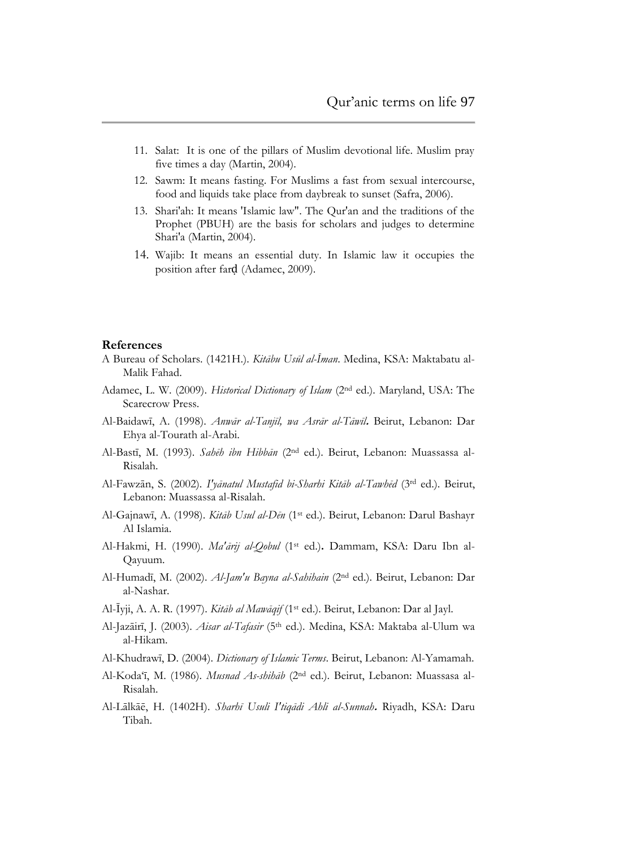- 11. Salat: It is one of the pillars of Muslim devotional life. Muslim pray five times a day (Martin, 2004).
- 12. Sawm: It means fasting. For Muslims a fast from sexual intercourse, food and liquids take place from daybreak to sunset (Safra, 2006).
- 13. Shari'ah: It means 'Islamic law". The Qur'an and the traditions of the Prophet (PBUH) are the basis for scholars and judges to determine Shari'a (Martin, 2004).
- 14. Wajib: It means an essential duty. In Islamic law it occupies the position after farḍ (Adamec, 2009).

#### **References**

- A Bureau of Scholars. (1421H.). *Kitābu Usūl al-Īman*. Medina, KSA: Maktabatu al-Malik Fahad.
- Adamec, L. W. (2009). *Historical Dictionary of Islam* (2nd ed.). Maryland, USA: The Scarecrow Press.
- Al-Baidawī, A. (1998). *Anwār al-Tanjīl, wa Asrār al-Tāwīl***.** Beirut, Lebanon: Dar Ehya al-Tourath al-Arabi.
- Al-Bastī, M. (1993). *Sahēh ibn Hibbān* (2nd ed.). Beirut, Lebanon: Muassassa al-Risalah.
- Al-Fawzān, S. (2002). *I'yānatul Mustafid bi-Sharhi Kitāb al-Tawhēd* (3rd ed.). Beirut, Lebanon: Muassassa al-Risalah.
- Al-Gajnawī, A. (1998). *Kitāb Usul al-Dēn* (1st ed.). Beirut, Lebanon: Darul Bashayr Al Islamia.
- Al-Hakmi, H. (1990). *Ma'ārij al-Qobul* (1st ed.)**.** Dammam, KSA: Daru Ibn al-Qayuum.
- Al-Humadī, M. (2002). *Al-Jam'u Bayna al-Sahihain* (2nd ed.). Beirut, Lebanon: Dar al-Nashar.
- Al-Īyji, A. A. R. (1997). *Kitāb al Mawāqif* (1st ed.). Beirut, Lebanon: Dar al Jayl.
- Al-Jazāirī, J. (2003). *Aisar al-Tafasir* (5th ed.). Medina, KSA: Maktaba al-Ulum wa al-Hikam.
- Al-Khudrawī, D. (2004). *Dictionary of Islamic Terms*. Beirut, Lebanon: Al-Yamamah.
- Al-Koda"ī, M. (1986). *Musnad As-shihāb* (2nd ed.). Beirut, Lebanon: Muassasa al-Risalah.
- Al-Lālkāē, H. (1402H). *Sharhī Usuli I'tiqādi Ahli al-Sunnah***.** Riyadh, KSA: Daru Tibah.